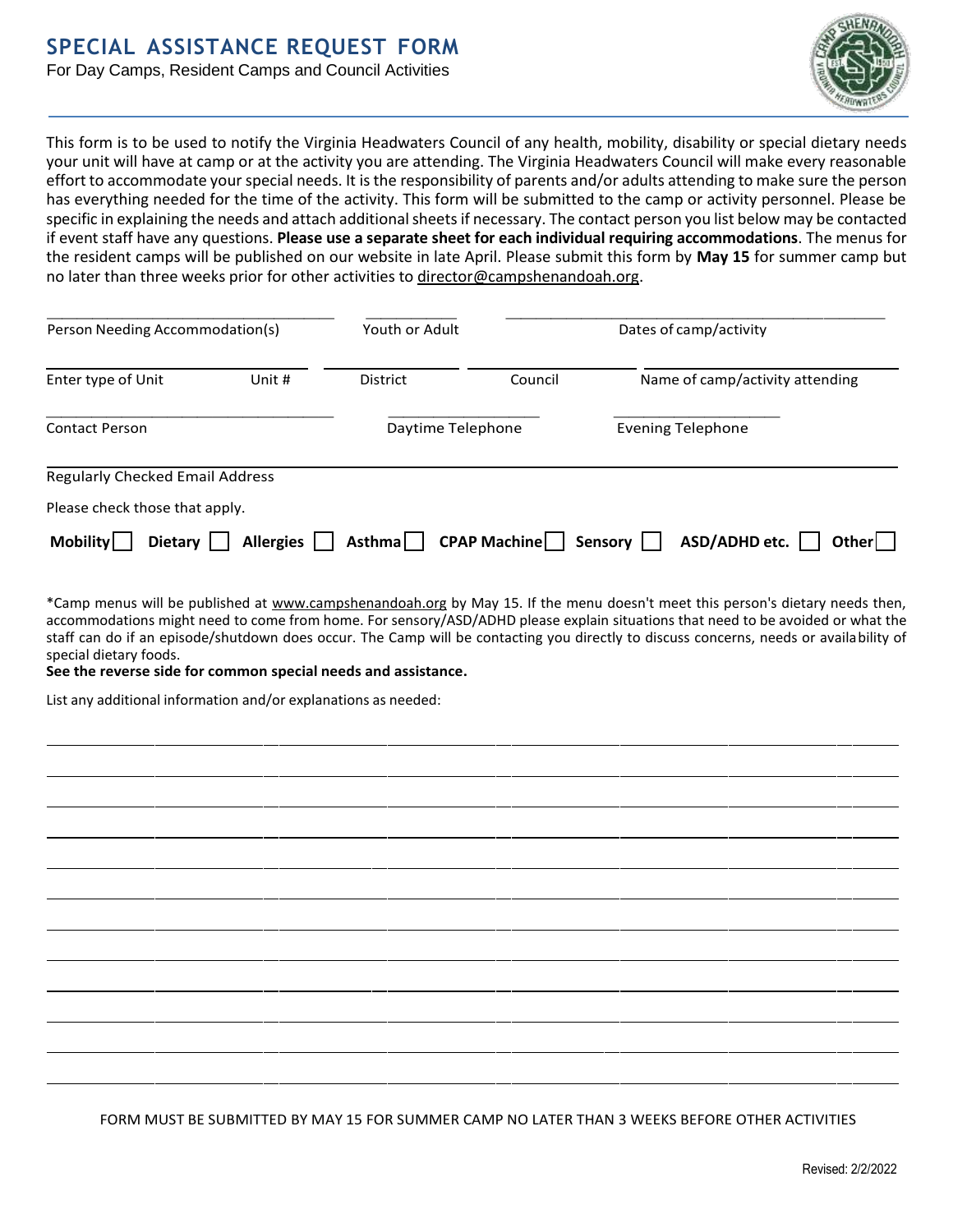# **SPECIAL ASSISTANCE REQUEST FORM**

For Day Camps, Resident Camps and Council Activities



This form is to be used to notify the Virginia Headwaters Council of any health, mobility, disability or special dietary needs your unit will have at camp or at the activity you are attending. The Virginia Headwaters Council will make every reasonable effort to accommodate your special needs. It is the responsibility of parents and/or adults attending to make sure the person has everything needed for the time of the activity. This form will be submitted to the camp or activity personnel. Please be specific in explaining the needs and attach additional sheets if necessary. The contact person you list below may be contacted if event staff have any questions. **Please use a separate sheet for each individual requiring accommodations**. The menus for the resident camps will be published on our website in late April. Please submit this form by **May 15** for summer camp but no later than three weeks prior for other activities to [director@campshenandoah.org.](mailto:director@campshenandoah.org)

| Person Needing Accommodation(s)        |                  | Youth or Adult    | Dates of camp/activity |                                   |
|----------------------------------------|------------------|-------------------|------------------------|-----------------------------------|
| Enter type of Unit                     | Unit #           | District          | Council                | Name of camp/activity attending   |
| <b>Contact Person</b>                  |                  | Daytime Telephone |                        | <b>Evening Telephone</b>          |
| <b>Regularly Checked Email Address</b> |                  |                   |                        |                                   |
| Please check those that apply.         |                  |                   |                        |                                   |
| <b>Mobility</b><br><b>Dietary</b>      | <b>Allergies</b> | <b>Asthma</b>     | <b>CPAP Machine</b>    | ASD/ADHD etc.<br>Other<br>Sensory |

\*Camp menus will be published at [www.campshenandoah.org](http://www.campshenandoah.org/) by May 15. If the menu doesn't meet this person's dietary needs then, accommodations might need to come from home. For sensory/ASD/ADHD please explain situations that need to be avoided or what the staff can do if an episode/shutdown does occur. The Camp will be contacting you directly to discuss concerns, needs or availability of special dietary foods.

**See the reverse side for common special needs and assistance.**

List any additional information and/or explanations as needed:

FORM MUST BE SUBMITTED BY MAY 15 FOR SUMMER CAMP NO LATER THAN 3 WEEKS BEFORE OTHER ACTIVITIES